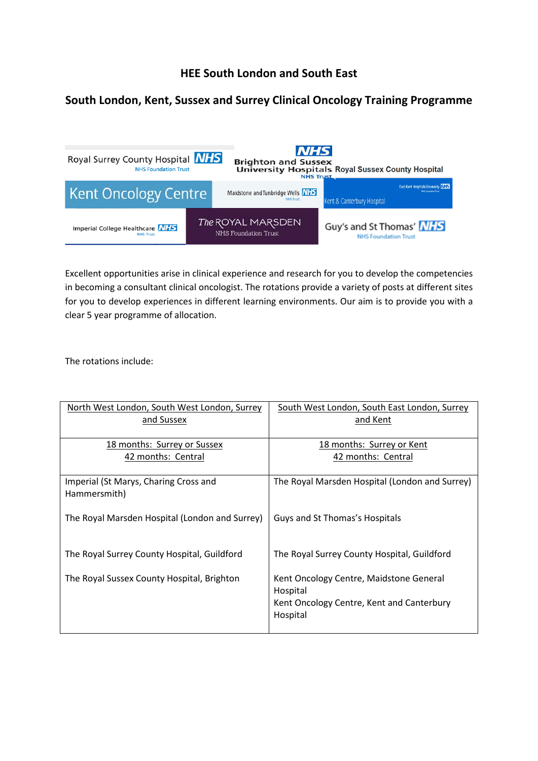## **HEE South London and South East**

## **South London, Kent, Sussex and Surrey Clinical Oncology Training Programme**



Excellent opportunities arise in clinical experience and research for you to develop the competencies in becoming a consultant clinical oncologist. The rotations provide a variety of posts at different sites for you to develop experiences in different learning environments. Our aim is to provide you with a clear 5 year programme of allocation.

The rotations include:

| North West London, South West London, Surrey<br>and Sussex | South West London, South East London, Surrey<br>and Kent                                                     |
|------------------------------------------------------------|--------------------------------------------------------------------------------------------------------------|
| 18 months: Surrey or Sussex<br>42 months: Central          | 18 months: Surrey or Kent<br>42 months: Central                                                              |
| Imperial (St Marys, Charing Cross and<br>Hammersmith)      | The Royal Marsden Hospital (London and Surrey)                                                               |
| The Royal Marsden Hospital (London and Surrey)             | Guys and St Thomas's Hospitals                                                                               |
| The Royal Surrey County Hospital, Guildford                | The Royal Surrey County Hospital, Guildford                                                                  |
| The Royal Sussex County Hospital, Brighton                 | Kent Oncology Centre, Maidstone General<br>Hospital<br>Kent Oncology Centre, Kent and Canterbury<br>Hospital |